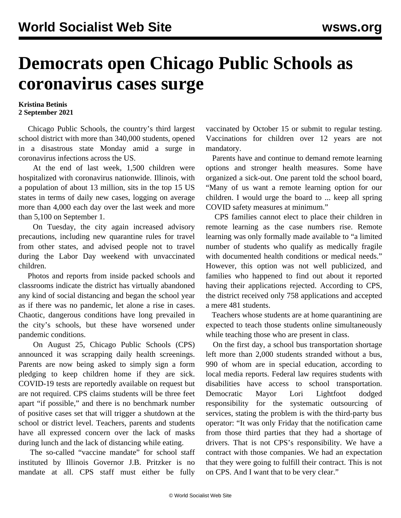## **Democrats open Chicago Public Schools as coronavirus cases surge**

## **Kristina Betinis 2 September 2021**

 Chicago Public Schools, the country's third largest school district with more than 340,000 students, opened in a disastrous state Monday amid a surge in coronavirus infections across the US.

 At the end of last week, 1,500 children were hospitalized with coronavirus nationwide. Illinois, with a population of about 13 million, sits in the top 15 US states in terms of daily new cases, logging on average more than 4,000 each day over the last week and more than 5,100 on September 1.

 On Tuesday, the city again increased advisory precautions, including new quarantine rules for travel from other states, and advised people not to travel during the Labor Day weekend with unvaccinated children.

 Photos and reports from inside packed schools and classrooms indicate the district has virtually abandoned any kind of social distancing and began the school year as if there was no pandemic, let alone a rise in cases. Chaotic, dangerous conditions have long prevailed in the city's schools, but these have worsened under pandemic conditions.

 On August 25, Chicago Public Schools (CPS) announced it was scrapping daily health screenings. Parents are now being asked to simply sign a form pledging to keep children home if they are sick. COVID-19 tests are reportedly available on request but are not required. CPS claims students will be three feet apart "if possible," and there is no benchmark number of positive cases set that will trigger a shutdown at the school or district level. Teachers, parents and students have all expressed concern over the lack of masks during lunch and the lack of distancing while eating.

 The so-called "vaccine mandate" for school staff instituted by Illinois Governor J.B. Pritzker is no mandate at all. CPS staff must either be fully

vaccinated by October 15 or submit to regular testing. Vaccinations for children over 12 years are not mandatory.

 Parents have and continue to demand remote learning options and stronger health measures. Some have organized a sick-out. One parent told the school board, "Many of us want a remote learning option for our children. I would urge the board to ... keep all spring COVID safety measures at minimum."

 CPS families cannot elect to place their children in remote learning as the case numbers rise. Remote learning was only formally made available to "a limited number of students who qualify as medically fragile with documented health conditions or medical needs." However, this option was not well publicized, and families who happened to find out about it reported having their applications rejected. According to CPS, the district received only 758 applications and accepted a mere 481 students.

 Teachers whose students are at home quarantining are expected to teach those students online simultaneously while teaching those who are present in class.

 On the first day, a school bus transportation shortage left more than 2,000 students stranded without a bus, 990 of whom are in special education, according to local media reports. Federal law requires students with disabilities have access to school transportation. Democratic Mayor Lori Lightfoot dodged responsibility for the systematic outsourcing of services, stating the problem is with the third-party bus operator: "It was only Friday that the notification came from those third parties that they had a shortage of drivers. That is not CPS's responsibility. We have a contract with those companies. We had an expectation that they were going to fulfill their contract. This is not on CPS. And I want that to be very clear."